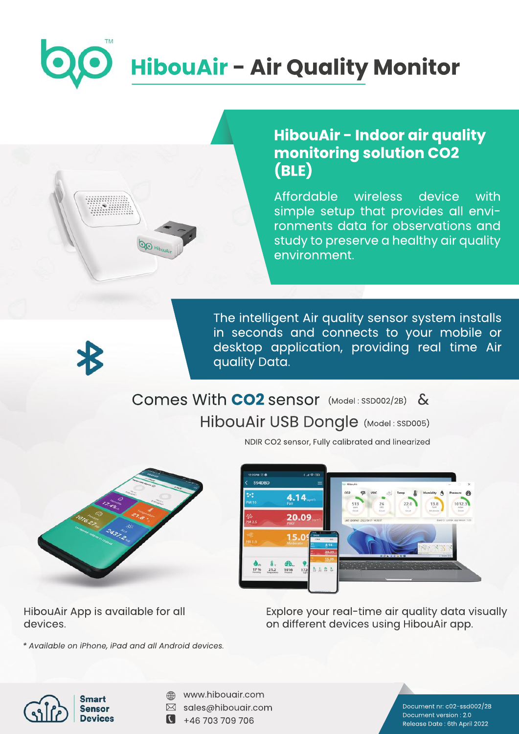# **HibouAir - Air Quality Monitor**

## **HibouAir - Indoor air quality monitoring solution CO2 (BLE)**

Affordable wireless device with simple setup that provides all environments data for observations and study to preserve a healthy air quality environment.

The intelligent Air quality sensor system installs in seconds and connects to your mobile or desktop application, providing real time Air quality Data.

#### Comes With **CO2** sensor (Model: SSD002/2B) HibouAir USB Dongle (Model: SSD005) &



 $\overline{\mathcal{Q}_{\bigotimes \mathbb{H}_{\mathrm{lin}}}}$ 

NDIR CO2 sensor, Fully calibrated and linearized



HibouAir App is available for all devices.

*\*AvailableoniPhone,iPadandallAndroiddevices.*

Explore your real-time air quality data visually on different devices using HibouAir app.



- www.hibouair.com ⊕
- $\boxtimes$  sales@hibouair.com
- $\blacksquare$ +46703709706

Document nr: c02-ssd002/2B Document version: 2.0 Release Date: 6th April 2022